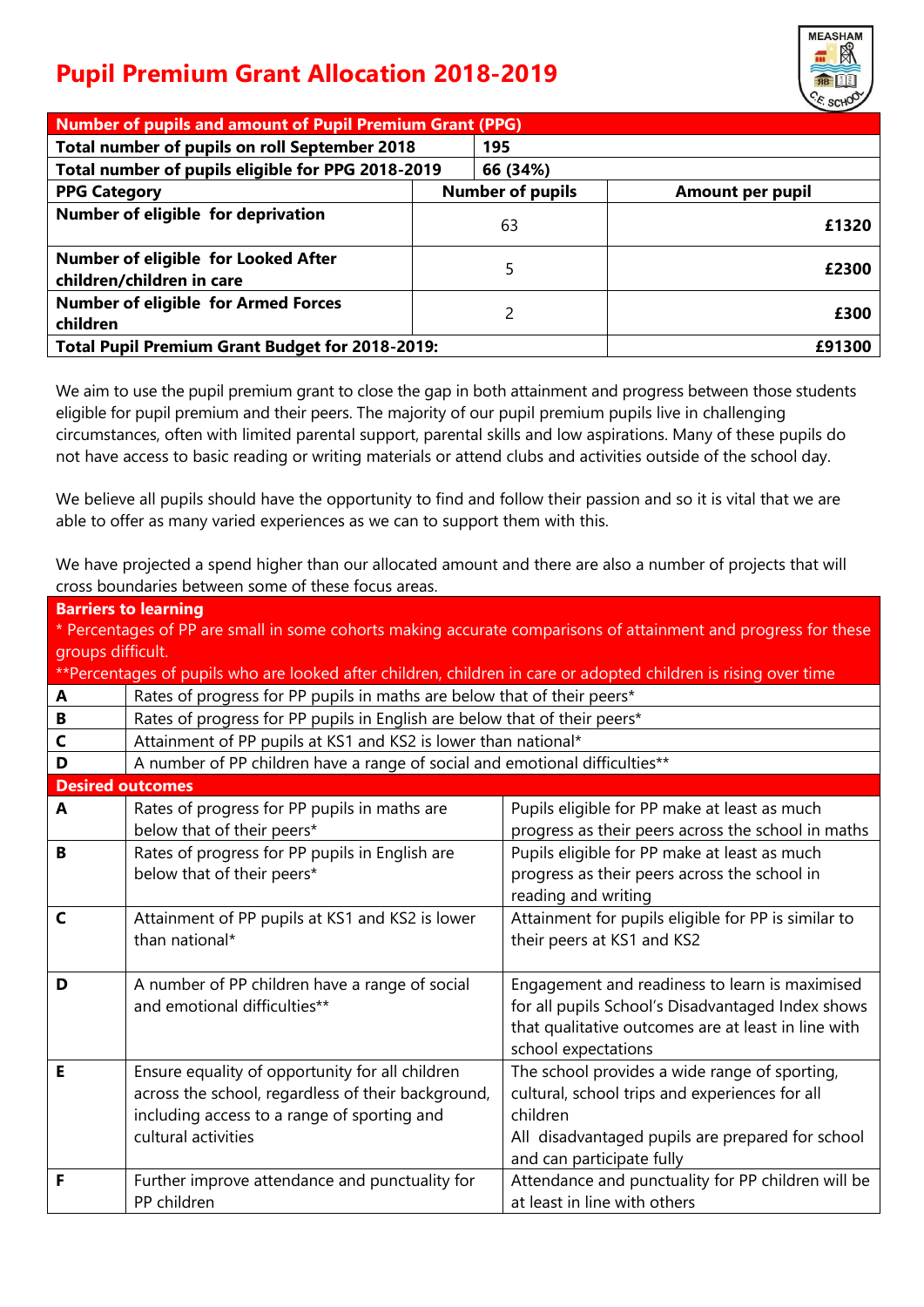## **Pupil Premium Grant Allocation 2018-2019**



| <b>Number of pupils and amount of Pupil Premium Grant (PPG)</b>  |                         |                         |  |  |  |  |  |
|------------------------------------------------------------------|-------------------------|-------------------------|--|--|--|--|--|
| Total number of pupils on roll September 2018                    | 195                     |                         |  |  |  |  |  |
| Total number of pupils eligible for PPG 2018-2019                | 66 (34%)                |                         |  |  |  |  |  |
| <b>PPG Category</b>                                              | <b>Number of pupils</b> | <b>Amount per pupil</b> |  |  |  |  |  |
| Number of eligible for deprivation                               | 63                      | £1320                   |  |  |  |  |  |
| Number of eligible for Looked After<br>children/children in care | 5                       | £2300                   |  |  |  |  |  |
| <b>Number of eligible for Armed Forces</b><br>children           | 2                       | £300                    |  |  |  |  |  |
| <b>Total Pupil Premium Grant Budget for 2018-2019:</b>           |                         | £91300                  |  |  |  |  |  |
|                                                                  |                         |                         |  |  |  |  |  |

We aim to use the pupil premium grant to close the gap in both attainment and progress between those students eligible for pupil premium and their peers. The majority of our pupil premium pupils live in challenging circumstances, often with limited parental support, parental skills and low aspirations. Many of these pupils do not have access to basic reading or writing materials or attend clubs and activities outside of the school day.

We believe all pupils should have the opportunity to find and follow their passion and so it is vital that we are able to offer as many varied experiences as we can to support them with this.

We have projected a spend higher than our allocated amount and there are also a number of projects that will cross boundaries between some of these focus areas.

|                                                                                                                | <b>Barriers to learning</b>                                                                                     |                                                     |  |  |  |  |  |  |
|----------------------------------------------------------------------------------------------------------------|-----------------------------------------------------------------------------------------------------------------|-----------------------------------------------------|--|--|--|--|--|--|
| * Percentages of PP are small in some cohorts making accurate comparisons of attainment and progress for these |                                                                                                                 |                                                     |  |  |  |  |  |  |
| groups difficult.                                                                                              |                                                                                                                 |                                                     |  |  |  |  |  |  |
|                                                                                                                | **Percentages of pupils who are looked after children, children in care or adopted children is rising over time |                                                     |  |  |  |  |  |  |
| A                                                                                                              | Rates of progress for PP pupils in maths are below that of their peers*                                         |                                                     |  |  |  |  |  |  |
| B                                                                                                              | Rates of progress for PP pupils in English are below that of their peers*                                       |                                                     |  |  |  |  |  |  |
| $\mathsf{C}$                                                                                                   | Attainment of PP pupils at KS1 and KS2 is lower than national*                                                  |                                                     |  |  |  |  |  |  |
| D                                                                                                              | A number of PP children have a range of social and emotional difficulties**                                     |                                                     |  |  |  |  |  |  |
| <b>Desired outcomes</b>                                                                                        |                                                                                                                 |                                                     |  |  |  |  |  |  |
| A                                                                                                              | Rates of progress for PP pupils in maths are                                                                    | Pupils eligible for PP make at least as much        |  |  |  |  |  |  |
|                                                                                                                | below that of their peers*                                                                                      | progress as their peers across the school in maths  |  |  |  |  |  |  |
| B                                                                                                              | Rates of progress for PP pupils in English are                                                                  | Pupils eligible for PP make at least as much        |  |  |  |  |  |  |
|                                                                                                                | below that of their peers*                                                                                      | progress as their peers across the school in        |  |  |  |  |  |  |
|                                                                                                                |                                                                                                                 | reading and writing                                 |  |  |  |  |  |  |
| $\mathsf{C}$                                                                                                   | Attainment of PP pupils at KS1 and KS2 is lower                                                                 | Attainment for pupils eligible for PP is similar to |  |  |  |  |  |  |
|                                                                                                                | than national*                                                                                                  | their peers at KS1 and KS2                          |  |  |  |  |  |  |
|                                                                                                                |                                                                                                                 |                                                     |  |  |  |  |  |  |
| D                                                                                                              | A number of PP children have a range of social                                                                  | Engagement and readiness to learn is maximised      |  |  |  |  |  |  |
|                                                                                                                | and emotional difficulties**                                                                                    | for all pupils School's Disadvantaged Index shows   |  |  |  |  |  |  |
|                                                                                                                |                                                                                                                 | that qualitative outcomes are at least in line with |  |  |  |  |  |  |
|                                                                                                                |                                                                                                                 | school expectations                                 |  |  |  |  |  |  |
| Е                                                                                                              | Ensure equality of opportunity for all children                                                                 | The school provides a wide range of sporting,       |  |  |  |  |  |  |
|                                                                                                                | across the school, regardless of their background,                                                              | cultural, school trips and experiences for all      |  |  |  |  |  |  |
|                                                                                                                | including access to a range of sporting and                                                                     | children                                            |  |  |  |  |  |  |
|                                                                                                                | cultural activities                                                                                             | All disadvantaged pupils are prepared for school    |  |  |  |  |  |  |
|                                                                                                                |                                                                                                                 | and can participate fully                           |  |  |  |  |  |  |
| F                                                                                                              | Further improve attendance and punctuality for                                                                  | Attendance and punctuality for PP children will be  |  |  |  |  |  |  |
|                                                                                                                | PP children                                                                                                     | at least in line with others                        |  |  |  |  |  |  |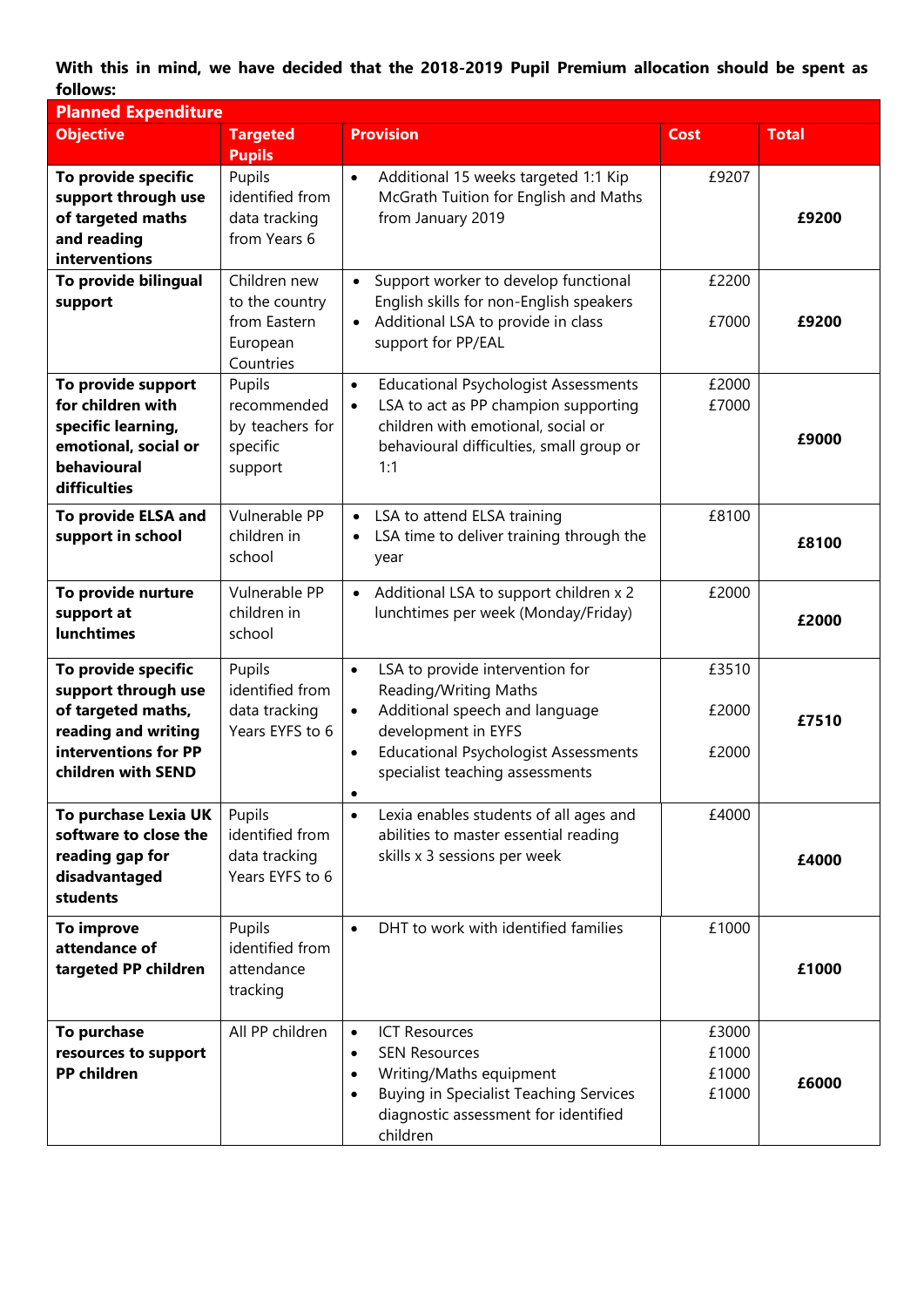**With this in mind, we have decided that the 2018-2019 Pupil Premium allocation should be spent as follows:**

| <b>Planned Expenditure</b>                                                                                                            |                                                                         |                                                                                                                                                                                                                                                         |                                  |              |
|---------------------------------------------------------------------------------------------------------------------------------------|-------------------------------------------------------------------------|---------------------------------------------------------------------------------------------------------------------------------------------------------------------------------------------------------------------------------------------------------|----------------------------------|--------------|
| <b>Objective</b>                                                                                                                      | <b>Targeted</b><br><b>Pupils</b>                                        | <b>Provision</b>                                                                                                                                                                                                                                        | <b>Cost</b>                      | <b>Total</b> |
| To provide specific<br>support through use<br>of targeted maths<br>and reading<br>interventions                                       | Pupils<br>identified from<br>data tracking<br>from Years 6              | Additional 15 weeks targeted 1:1 Kip<br>$\bullet$<br>McGrath Tuition for English and Maths<br>from January 2019                                                                                                                                         | £9207                            | £9200        |
| To provide bilingual<br>support                                                                                                       | Children new<br>to the country<br>from Eastern<br>European<br>Countries | Support worker to develop functional<br>English skills for non-English speakers<br>Additional LSA to provide in class<br>$\bullet$<br>support for PP/EAL                                                                                                | £2200<br>£7000                   | £9200        |
| To provide support<br>for children with<br>specific learning,<br>emotional, social or<br>behavioural<br>difficulties                  | Pupils<br>recommended<br>by teachers for<br>specific<br>support         | <b>Educational Psychologist Assessments</b><br>$\bullet$<br>LSA to act as PP champion supporting<br>$\bullet$<br>children with emotional, social or<br>behavioural difficulties, small group or<br>1:1                                                  | £2000<br>£7000                   | £9000        |
| <b>To provide ELSA and</b><br>support in school                                                                                       | Vulnerable PP<br>children in<br>school                                  | LSA to attend ELSA training<br>$\bullet$<br>LSA time to deliver training through the<br>$\bullet$<br>year                                                                                                                                               | £8100                            | £8100        |
| To provide nurture<br>support at<br><b>lunchtimes</b>                                                                                 | Vulnerable PP<br>children in<br>school                                  | Additional LSA to support children x 2<br>$\bullet$<br>lunchtimes per week (Monday/Friday)                                                                                                                                                              | £2000                            | £2000        |
| To provide specific<br>support through use<br>of targeted maths,<br>reading and writing<br>interventions for PP<br>children with SEND | Pupils<br>identified from<br>data tracking<br>Years EYFS to 6           | LSA to provide intervention for<br>$\bullet$<br>Reading/Writing Maths<br>Additional speech and language<br>$\bullet$<br>development in EYFS<br><b>Educational Psychologist Assessments</b><br>$\bullet$<br>specialist teaching assessments<br>$\bullet$ | £3510<br>£2000<br>£2000          | £7510        |
| To purchase Lexia UK<br>software to close the<br>reading gap for<br>disadvantaged<br>students                                         | Pupils<br>identified from<br>data tracking<br>Years EYFS to 6           | Lexia enables students of all ages and<br>$\bullet$<br>abilities to master essential reading<br>skills x 3 sessions per week                                                                                                                            | £4000                            | £4000        |
| To improve<br>attendance of<br>targeted PP children                                                                                   | Pupils<br>identified from<br>attendance<br>tracking                     | DHT to work with identified families<br>$\bullet$                                                                                                                                                                                                       | £1000                            | £1000        |
| To purchase<br>resources to support<br><b>PP</b> children                                                                             | All PP children                                                         | <b>ICT Resources</b><br>$\bullet$<br><b>SEN Resources</b><br>$\bullet$<br>Writing/Maths equipment<br>$\bullet$<br><b>Buying in Specialist Teaching Services</b><br>$\bullet$<br>diagnostic assessment for identified<br>children                        | £3000<br>£1000<br>£1000<br>£1000 | £6000        |